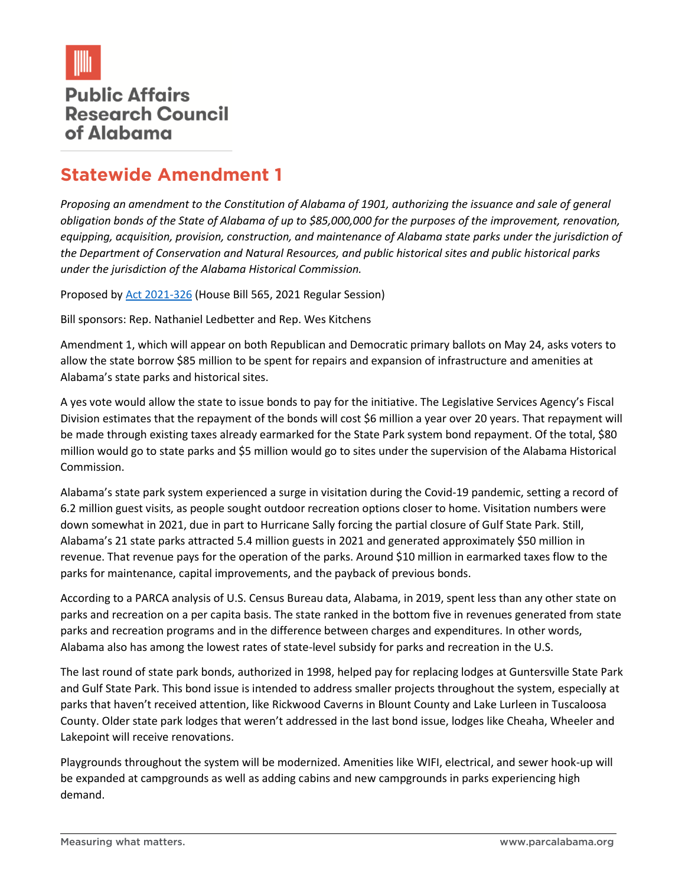

## **Public Affairs Research Council** of Alabama

## **Statewide Amendment 1**

*Proposing an amendment to the Constitution of Alabama of 1901, authorizing the issuance and sale of general obligation bonds of the State of Alabama of up to \$85,000,000 for the purposes of the improvement, renovation, equipping, acquisition, provision, construction, and maintenance of Alabama state parks under the jurisdiction of the Department of Conservation and Natural Resources, and public historical sites and public historical parks under the jurisdiction of the Alabama Historical Commission.*

Proposed by [Act 2021-326](https://arc-sos.state.al.us/ucp/L0611534.AI1.pdf) (House Bill 565, 2021 Regular Session)

Bill sponsors: Rep. Nathaniel Ledbetter and Rep. Wes Kitchens

Amendment 1, which will appear on both Republican and Democratic primary ballots on May 24, asks voters to allow the state borrow \$85 million to be spent for repairs and expansion of infrastructure and amenities at Alabama's state parks and historical sites.

A yes vote would allow the state to issue bonds to pay for the initiative. The Legislative Services Agency's Fiscal Division estimates that the repayment of the bonds will cost \$6 million a year over 20 years. That repayment will be made through existing taxes already earmarked for the State Park system bond repayment. Of the total, \$80 million would go to state parks and \$5 million would go to sites under the supervision of the Alabama Historical Commission.

Alabama's state park system experienced a surge in visitation during the Covid-19 pandemic, setting a record of 6.2 million guest visits, as people sought outdoor recreation options closer to home. Visitation numbers were down somewhat in 2021, due in part to Hurricane Sally forcing the partial closure of Gulf State Park. Still, Alabama's 21 state parks attracted 5.4 million guests in 2021 and generated approximately \$50 million in revenue. That revenue pays for the operation of the parks. Around \$10 million in earmarked taxes flow to the parks for maintenance, capital improvements, and the payback of previous bonds.

According to a PARCA analysis of U.S. Census Bureau data, Alabama, in 2019, spent less than any other state on parks and recreation on a per capita basis. The state ranked in the bottom five in revenues generated from state parks and recreation programs and in the difference between charges and expenditures. In other words, Alabama also has among the lowest rates of state-level subsidy for parks and recreation in the U.S.

The last round of state park bonds, authorized in 1998, helped pay for replacing lodges at Guntersville State Park and Gulf State Park. This bond issue is intended to address smaller projects throughout the system, especially at parks that haven't received attention, like Rickwood Caverns in Blount County and Lake Lurleen in Tuscaloosa County. Older state park lodges that weren't addressed in the last bond issue, lodges like Cheaha, Wheeler and Lakepoint will receive renovations.

Playgrounds throughout the system will be modernized. Amenities like WIFI, electrical, and sewer hook-up will be expanded at campgrounds as well as adding cabins and new campgrounds in parks experiencing high demand.